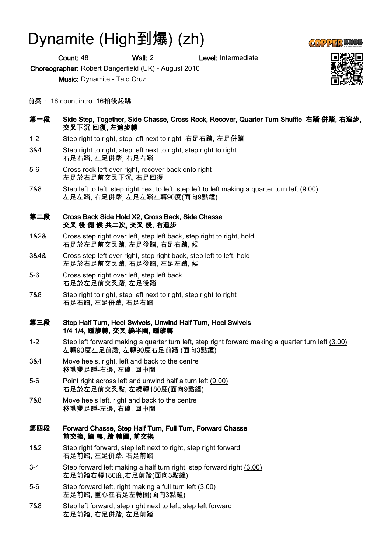# Dynamite (High到爆) (zh)

Count: 48 Wall: 2 Level: Intermediate

Choreographer: Robert Dangerfield (UK) - August 2010

Music: Dynamite - Taio Cruz

- 前奏: 16 count intro 16拍後起跳
- 第一段 Side Step, Together, Side Chasse, Cross Rock, Recover, Quarter Turn Shuffle 右踏 併踏, 右追步, 交叉下沉 回復, 左追步轉
- 1-2 Step right to right, step left next to right 右足右踏, 左足併踏
- 3&4 Step right to right, step left next to right, step right to right 右足右踏, 左足併踏, 右足右踏
- 5-6 Cross rock left over right, recover back onto right 左足於右足前交叉下沉, 右足回復
- 7&8 Step left to left, step right next to left, step left to left making a quarter turn left (9.00) 左足左踏, 右足併踏, 左足左踏左轉90度(面向9點鐘)

## 第二段 Cross Back Side Hold X2, Cross Back, Side Chasse 交叉 後 側 候 共二次, 交叉 後, 右追步

- 1&2& Cross step right over left, step left back, step right to right, hold 右足於左足前交叉踏, 左足後踏, 右足右踏, 候
- 3&4& Cross step left over right, step right back, step left to left, hold 左足於右足前交叉踏, 右足後踏, 左足左踏, 候
- 5-6 Cross step right over left, step left back 右足於左足前交叉踏, 左足後踏
- 7&8 Step right to right, step left next to right, step right to right 右足右踏, 左足併踏, 右足右踏

#### 第三段 Step Half Turn, Heel Swivels, Unwind Half Turn, Heel Swivels 1/4 1/4, 踵旋轉, 交叉 繞半圈, 踵旋轉

- 1-2 Step left forward making a quarter turn left, step right forward making a quarter turn left (3.00) 左轉90度左足前踏, 左轉90度右足前踏 (面向3點鐘)
- 3&4 Move heels, right, left and back to the centre 移動雙足踵-右邊, 左邊, 回中間
- 5-6 Point right across left and unwind half a turn left (9.00) 右足於左足前交叉點, 左繞轉180度(面向9點鐘)
- 7&8 Move heels left, right and back to the centre 移動雙足踵-左邊, 右邊, 回中間

# 第四段 Forward Chasse, Step Half Turn, Full Turn, Forward Chasse 前交換, 踏 轉, 踏 轉圈, 前交換

- 1&2 Step right forward, step left next to right, step right forward 右足前踏, 左足併踏, 右足前踏
- 3-4 Step forward left making a half turn right, step forward right (3.00) 左足前踏右轉180度,右足前踏(面向3點鐘)
- 5-6 Step forward left, right making a full turn left (3.00) 左足前踏, 重心在右足左轉圈(面向3點鐘)
- 7&8 Step left forward, step right next to left, step left forward 左足前踏, 右足併踏, 左足前踏